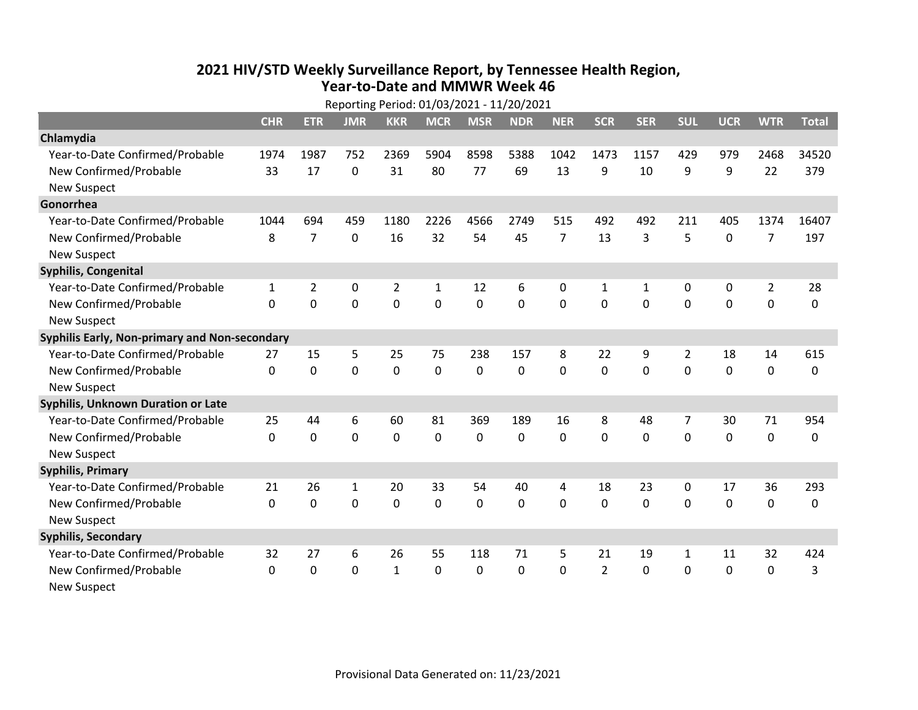## **2021 HIV /STD Weekly Surveillance Report, by Tennessee Health Region, Year‐to‐Date and MMWR Week 46** Reporting Period: 01/03/2021 ‐ 11/20/2021

| Reporting Period: 01/03/2021 - 11/20/2021     |            |                |                |                |              |             |             |                |                |              |              |             |                |              |
|-----------------------------------------------|------------|----------------|----------------|----------------|--------------|-------------|-------------|----------------|----------------|--------------|--------------|-------------|----------------|--------------|
|                                               | <b>CHR</b> | <b>ETR</b>     | <b>JMR</b>     | <b>KKR</b>     | <b>MCR</b>   | <b>MSR</b>  | <b>NDR</b>  | <b>NER</b>     | <b>SCR</b>     | <b>SER</b>   | <b>SUL</b>   | <b>UCR</b>  | <b>WTR</b>     | <b>Total</b> |
| Chlamydia                                     |            |                |                |                |              |             |             |                |                |              |              |             |                |              |
| Year-to-Date Confirmed/Probable               | 1974       | 1987           | 752            | 2369           | 5904         | 8598        | 5388        | 1042           | 1473           | 1157         | 429          | 979         | 2468           | 34520        |
| New Confirmed/Probable                        | 33         | 17             | 0              | 31             | 80           | 77          | 69          | 13             | 9              | 10           | 9            | 9           | 22             | 379          |
| <b>New Suspect</b>                            |            |                |                |                |              |             |             |                |                |              |              |             |                |              |
| Gonorrhea                                     |            |                |                |                |              |             |             |                |                |              |              |             |                |              |
| Year-to-Date Confirmed/Probable               | 1044       | 694            | 459            | 1180           | 2226         | 4566        | 2749        | 515            | 492            | 492          | 211          | 405         | 1374           | 16407        |
| New Confirmed/Probable                        | 8          | $\overline{7}$ | 0              | 16             | 32           | 54          | 45          | $\overline{7}$ | 13             | 3            | 5            | 0           | $\overline{7}$ | 197          |
| <b>New Suspect</b>                            |            |                |                |                |              |             |             |                |                |              |              |             |                |              |
| <b>Syphilis, Congenital</b>                   |            |                |                |                |              |             |             |                |                |              |              |             |                |              |
| Year-to-Date Confirmed/Probable               | 1          | $\overline{2}$ | 0              | $\overline{2}$ | 1            | 12          | 6           | 0              | $\mathbf{1}$   | $\mathbf{1}$ | 0            | 0           | $\overline{2}$ | 28           |
| New Confirmed/Probable                        | $\Omega$   | 0              | $\mathbf 0$    | 0              | 0            | 0           | 0           | $\Omega$       | $\Omega$       | 0            | $\mathbf 0$  | 0           | $\mathbf 0$    | 0            |
| <b>New Suspect</b>                            |            |                |                |                |              |             |             |                |                |              |              |             |                |              |
| Syphilis Early, Non-primary and Non-secondary |            |                |                |                |              |             |             |                |                |              |              |             |                |              |
| Year-to-Date Confirmed/Probable               | 27         | 15             | 5              | 25             | 75           | 238         | 157         | 8              | 22             | 9            | 2            | 18          | 14             | 615          |
| New Confirmed/Probable                        | $\Omega$   | 0              | 0              | $\mathbf 0$    | $\mathbf 0$  | 0           | $\mathbf 0$ | $\Omega$       | $\Omega$       | $\mathbf 0$  | $\mathbf 0$  | $\mathbf 0$ | $\mathbf 0$    | 0            |
| <b>New Suspect</b>                            |            |                |                |                |              |             |             |                |                |              |              |             |                |              |
| Syphilis, Unknown Duration or Late            |            |                |                |                |              |             |             |                |                |              |              |             |                |              |
| Year-to-Date Confirmed/Probable               | 25         | 44             | 6              | 60             | 81           | 369         | 189         | 16             | 8              | 48           | 7            | 30          | 71             | 954          |
| New Confirmed/Probable                        | $\Omega$   | 0              | $\overline{0}$ | $\mathbf 0$    | 0            | 0           | $\Omega$    | $\Omega$       | $\Omega$       | $\Omega$     | $\mathbf 0$  | $\mathbf 0$ | $\mathbf 0$    | 0            |
| <b>New Suspect</b>                            |            |                |                |                |              |             |             |                |                |              |              |             |                |              |
| <b>Syphilis, Primary</b>                      |            |                |                |                |              |             |             |                |                |              |              |             |                |              |
| Year-to-Date Confirmed/Probable               | 21         | 26             | $\mathbf{1}$   | 20             | 33           | 54          | 40          | 4              | 18             | 23           | 0            | 17          | 36             | 293          |
| New Confirmed/Probable                        | $\Omega$   | 0              | $\mathbf 0$    | 0              | 0            | $\mathbf 0$ | 0           | $\Omega$       | $\Omega$       | 0            | $\mathbf 0$  | $\mathbf 0$ | $\mathbf 0$    | 0            |
| <b>New Suspect</b>                            |            |                |                |                |              |             |             |                |                |              |              |             |                |              |
| <b>Syphilis, Secondary</b>                    |            |                |                |                |              |             |             |                |                |              |              |             |                |              |
| Year-to-Date Confirmed/Probable               | 32         | 27             | 6              | 26             | 55           | 118         | 71          | 5              | 21             | 19           | $\mathbf{1}$ | 11          | 32             | 424          |
| New Confirmed/Probable                        | $\Omega$   | $\mathbf{0}$   | 0              | $\mathbf{1}$   | $\mathbf{0}$ | 0           | 0           | $\Omega$       | $\overline{2}$ | 0            | $\mathbf{0}$ | 0           | $\mathbf 0$    | 3            |
| <b>New Suspect</b>                            |            |                |                |                |              |             |             |                |                |              |              |             |                |              |